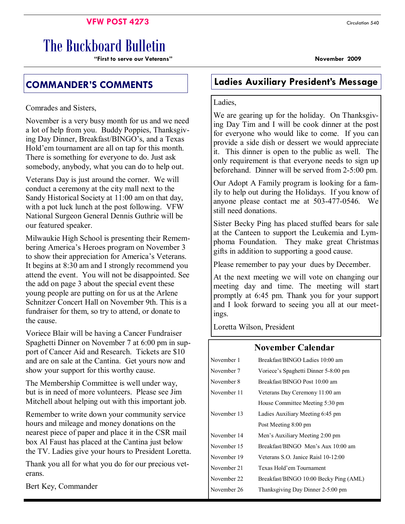### **VFW POST 4273** Circulation 540

# The Buckboard Bulletin

**"First to serve our Veterans" November 2009** 

Comrades and Sisters,

November is a very busy month for us and we need a lot of help from you. Buddy Poppies, Thanksgiving Day Dinner, Breakfast/BINGO's, and a Texas Hold'em tournament are all on tap for this month. There is something for everyone to do. Just ask somebody, anybody, what you can do to help out.

Veterans Day is just around the corner. We will conduct a ceremony at the city mall next to the Sandy Historical Society at 11:00 am on that day, with a pot luck lunch at the post following. VFW National Surgeon General Dennis Guthrie will be our featured speaker.

Milwaukie High School is presenting their Remembering America's Heroes program on November 3 to show their appreciation for America's Veterans. It begins at 8:30 am and I strongly recommend you attend the event. You will not be disappointed. See the add on page 3 about the special event these young people are putting on for us at the Arlene Schnitzer Concert Hall on November 9th. This is a fundraiser for them, so try to attend, or donate to the cause.

Voriece Blair will be having a Cancer Fundraiser Spaghetti Dinner on November 7 at 6:00 pm in support of Cancer Aid and Research. Tickets are \$10 and are on sale at the Cantina. Get yours now and show your support for this worthy cause.

The Membership Committee is well under way, but is in need of more volunteers. Please see Jim Mitchell about helping out with this important job.

Remember to write down your community service hours and mileage and money donations on the nearest piece of paper and place it in the CSR mail box Al Faust has placed at the Cantina just below the TV. Ladies give your hours to President Loretta.

Thank you all for what you do for our precious veterans.

Bert Key, Commander

## **COMMANDER'S COMMENTS Ladies Auxiliary President's Message**

### Ladies,

We are gearing up for the holiday. On Thanksgiving Day Tim and I will be cook dinner at the post for everyone who would like to come. If you can provide a side dish or dessert we would appreciate it. This dinner is open to the public as well. The only requirement is that everyone needs to sign up beforehand. Dinner will be served from 2-5:00 pm.

Our Adopt A Family program is looking for a family to help out during the Holidays. If you know of anyone please contact me at 503-477-0546. We still need donations.

Sister Becky Ping has placed stuffed bears for sale at the Canteen to support the Leukemia and Lymphoma Foundation. They make great Christmas gifts in addition to supporting a good cause.

Please remember to pay your dues by December.

At the next meeting we will vote on changing our meeting day and time. The meeting will start promptly at 6:45 pm. Thank you for your support and I look forward to seeing you all at our meetings.

Loretta Wilson, President

### **November Calendar**

| November 1  | Breakfast/BINGO Ladies 10:00 am        |  |
|-------------|----------------------------------------|--|
| November 7  | Voriece's Spaghetti Dinner 5-8:00 pm   |  |
| November 8  | Breakfast/BINGO Post 10:00 am          |  |
| November 11 | Veterans Day Ceremony 11:00 am         |  |
|             | House Committee Meeting 5:30 pm        |  |
| November 13 | Ladies Auxiliary Meeting 6:45 pm       |  |
|             | Post Meeting 8:00 pm                   |  |
| November 14 | Men's Auxiliary Meeting 2:00 pm        |  |
| November 15 | Breakfast/BINGO Men's Aux 10:00 am     |  |
| November 19 | Veterans S.O. Janice Raisl 10-12:00    |  |
| November 21 | Texas Hold'em Tournament               |  |
| November 22 | Breakfast/BINGO 10:00 Becky Ping (AML) |  |
| November 26 | Thanksgiving Day Dinner 2-5:00 pm      |  |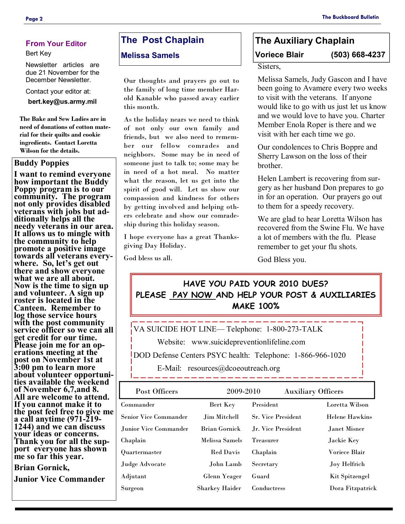### **From Your Editor**

#### Bert Key

Newsletter articles are due 21 November for the December Newsletter.

Contact your editor at:

**bert.key@us.army.mil** 

**The Bake and Sew Ladies are in need of donations of cotton material for their quilts and cookie ingredients. Contact Loretta Wilson for the details.** 

#### **Buddy Poppies**

**I want to remind everyone how important the Buddy Poppy program is to our community. The program not only provides disabled veterans with jobs but additionally helps all the needy veterans in our area. It allows us to mingle with the community to help promote a positive image towards all veterans everywhere. So, let's get out there and show everyone what we are all about. Now is the time to sign up and volunteer. A sign up roster is located in the Canteen. Remember to log those service hours with the post community service officer so we can all get credit for our time. Please join me for an operations meeting at the post on November 1st at 3:00 pm to learn more about volunteer opportunities available the weekend of November 6,7,and 8. All are welcome to attend. If you cannot make it to the post feel free to give me a call anytime (971-219- 1244) and we can discuss your ideas or concerns. Thank you for all the support everyone has shown me so far this year.** 

**Brian Gornick,** 

**Junior Vice Commander** 

### **The Post Chaplain**

#### **Melissa Samels**

Our thoughts and prayers go out to the family of long time member Harold Kanable who passed away earlier this month.

As the holiday nears we need to think of not only our own family and friends, but we also need to remember our fellow comrades and neighbors. Some may be in need of someone just to talk to; some may be in need of a hot meal. No matter what the reason, let us get into the spirit of good will. Let us show our compassion and kindness for others by getting involved and helping others celebrate and show our comradeship during this holiday season.

I hope everyone has a great Thanksgiving Day Holiday.

God bless us all.

# **The Auxiliary Chaplain Voriece Blair (503) 668-4237**

Sisters,

Melissa Samels, Judy Gascon and I have been going to Avamere every two weeks to visit with the veterans. If anyone would like to go with us just let us know and we would love to have you. Charter Member Enola Roper is there and we visit with her each time we go.

Our condolences to Chris Boppre and Sherry Lawson on the loss of their brother.

Helen Lambert is recovering from surgery as her husband Don prepares to go in for an operation. Our prayers go out to them for a speedy recovery.

We are glad to hear Loretta Wilson has recovered from the Swine Flu. We have a lot of members with the flu. Please remember to get your flu shots.

God Bless you.

### **HAVE YOU PAID YOUR 2010 DUES? PLEASE PAY NOW AND HELP YOUR POST & AUXILIARIES MAKE 100%**

VA SUICIDE HOT LINE— Telephone: 1-800-273-TALK

Website: www.suicidepreventionlifeline.com

DOD Defense Centers PSYC health: Telephone: 1-866-966-1020

E-Mail: resources@dcoeoutreach.org

| Post Officers                | 2009-2010             |                           | <b>Auxiliary Officers</b> |
|------------------------------|-----------------------|---------------------------|---------------------------|
| Commander                    | Bert Key              | President                 | Loretta Wilson            |
| <b>Senior Vice Commander</b> | Jim Mitchell          | <b>Sr. Vice President</b> | <b>Helene Hawkins</b>     |
| Junior Vice Commander        | <b>Brian Gornick</b>  | Jr. Vice President        | Janet Misner              |
| Chaplain                     | Melissa Samels        | <b>Treasurer</b>          | Jackie Key                |
| Quartermaster                | <b>Red Davis</b>      | Chaplain                  | Voriece Blair             |
| Judge Advocate               | John Lamb             | Secretary                 | Joy Helfrich              |
| Adjutant                     | Glenn Yeager          | Guard                     | Kit Spitzengel            |
| Surgeon                      | <b>Sharkey Haider</b> | Conductress               | Dora Fitzpatrick          |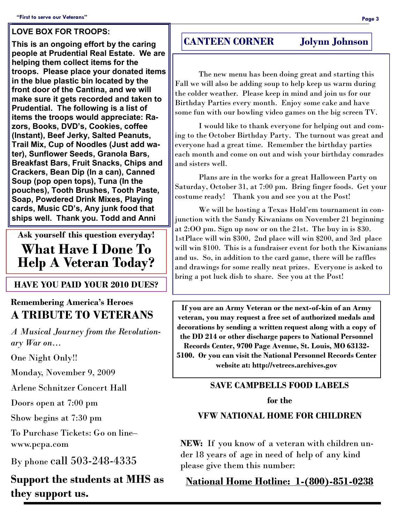### **LOVE BOX FOR TROOPS:**

**This is an ongoing effort by the caring people at Prudential Real Estate. We are helping them collect items for the troops. Please place your donated items in the blue plastic bin located by the front door of the Cantina, and we will make sure it gets recorded and taken to Prudential. The following is a list of items the troops would appreciate: Razors, Books, DVD's, Cookies, coffee (Instant), Beef Jerky, Salted Peanuts, Trail Mix, Cup of Noodles (Just add water), Sunflower Seeds, Granola Bars, Breakfast Bars, Fruit Snacks, Chips and Crackers, Bean Dip (In a can), Canned Soup (pop open tops), Tuna (In the pouches), Tooth Brushes, Tooth Paste, Soap, Powdered Drink Mixes, Playing cards, Music CD's, Any junk food that ships well. Thank you. Todd and Anni** 

**Ask yourself this question everyday! What Have I Done To Help A Veteran Today?** 

### **HAVE YOU PAID YOUR 2010 DUES?**

### **Remembering America's Heroes A TRIBUTE TO VETERANS**

*A Musical Journey from the Revolutionary War on…*

One Night Only!!

Monday, November 9, 2009

Arlene Schnitzer Concert Hall

Doors open at 7:00 pm

Show begins at 7:30 pm

To Purchase Tickets: Go on line– www.pcpa.com

By phone call 503-248-4335

**Support the students at MHS as they support us.** 

### **CANTEEN CORNER Jolynn Johnson**

 The new menu has been doing great and starting this Fall we will also be adding soup to help keep us warm during the colder weather. Please keep in mind and join us for our Birthday Parties every month. Enjoy some cake and have some fun with our bowling video games on the big screen TV.

 I would like to thank everyone for helping out and coming to the October Birthday Party. The turnout was great and everyone had a great time. Remember the birthday parties each month and come on out and wish your birthday comrades and sisters well.

 Plans are in the works for a great Halloween Party on Saturday, October 31, at 7:00 pm. Bring finger foods. Get your costume ready! Thank you and see you at the Post!

 We will be hosting a Texas Hold'em tournament in conjunction with the Sandy Kiwanians on November 21 beginning at 2:OO pm. Sign up now or on the 21st. The buy in is \$30. 1stPlace will win \$300, 2nd place will win \$200, and 3rd place will win \$100. This is a fundraiser event for both the Kiwanians and us. So, in addition to the card game, there will be raffles and drawings for some really neat prizes. Everyone is asked to bring a pot luck dish to share. See you at the Post!

**If you are an Army Veteran or the next-of-kin of an Army veteran, you may request a free set of authorized medals and decorations by sending a written request along with a copy of the DD 214 or other discharge papers to National Personnel Records Center, 9700 Page Avenue, St. Louis, MO 63132- 5100. Or you can visit the National Personnel Records Center website at: http://vetrecs.archives.gov** 

### **SAVE CAMPBELLS FOOD LABELS for the**

### **VFW NATIONAL HOME FOR CHILDREN**

**NEW:** If you know of a veteran with children under 18 years of age in need of help of any kind please give them this number:

**National Home Hotline: 1-(800)-851-0238**